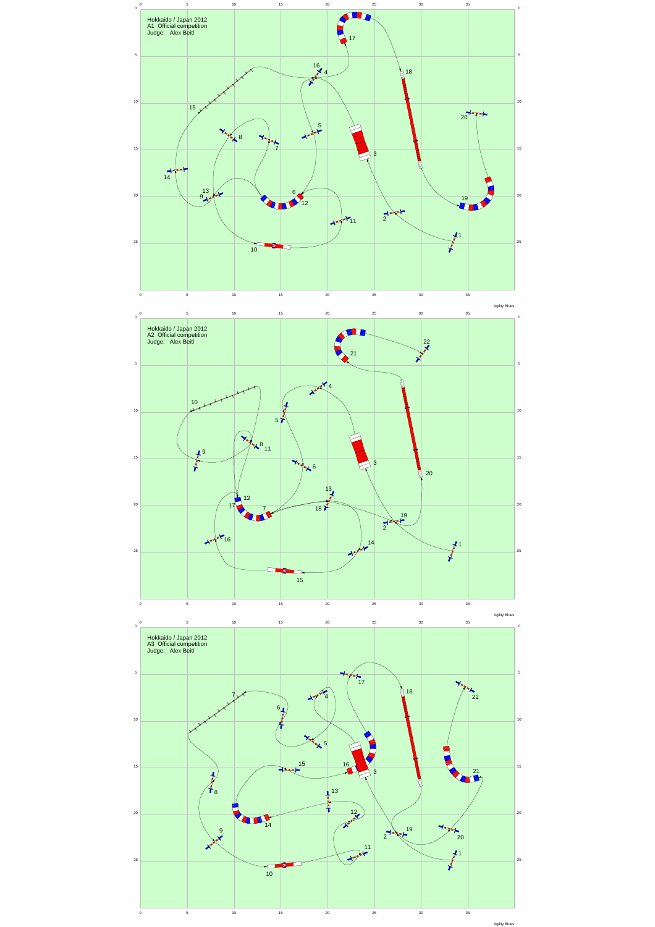